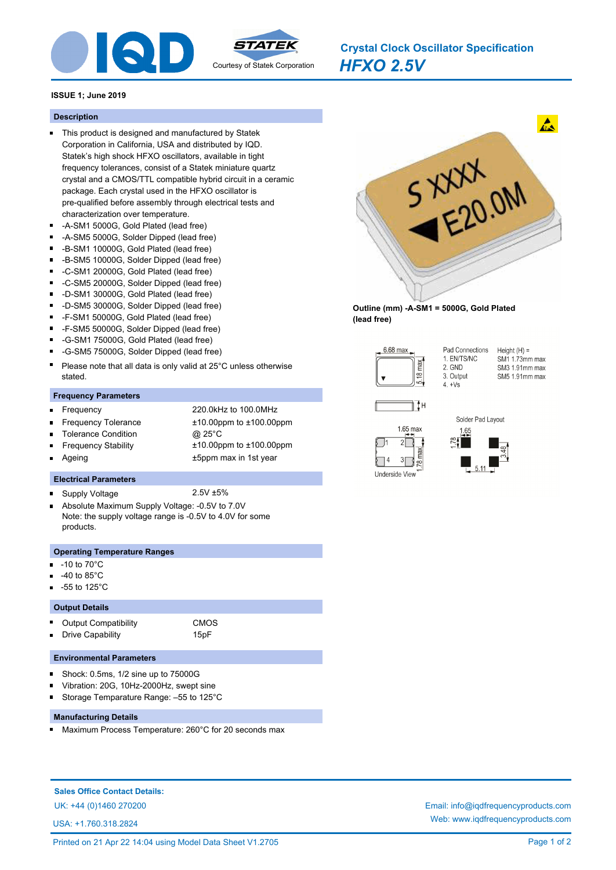

*HFXO 2.5V* **Crystal Clock Oscillator Specification**

# **ISSUE 1; June 2019**

#### **Description**

- This product is designed and manufactured by Statek Corporation in California, USA and distributed by IQD. Statek's high shock HFXO oscillators, available in tight frequency tolerances, consist of a Statek miniature quartz crystal and a CMOS/TTL compatible hybrid circuit in a ceramic package. Each crystal used in the HFXO oscillator is pre-qualified before assembly through electrical tests and characterization over temperature.
- -A-SM1 5000G, Gold Plated (lead free)
- -A-SM5 5000G, Solder Dipped (lead free)
- -B-SM1 10000G, Gold Plated (lead free)  $\blacksquare$
- $\blacksquare$ -B-SM5 10000G, Solder Dipped (lead free)
- $\blacksquare$ -C-SM1 20000G, Gold Plated (lead free)
- -C-SM5 20000G, Solder Dipped (lead free)  $\blacksquare$
- -D-SM1 30000G, Gold Plated (lead free)
- -D-SM5 30000G, Solder Dipped (lead free)
- $\blacksquare$ -F-SM1 50000G, Gold Plated (lead free)
- $\blacksquare$ -F-SM5 50000G, Solder Dipped (lead free)
- -G-SM1 75000G, Gold Plated (lead free)
- $\blacksquare$ -G-SM5 75000G, Solder Dipped (lead free)
- Please note that all data is only valid at 25°C unless otherwise stated.

#### **Frequency Parameters**

Ξ

 $\blacksquare$ 

Ē

 $\blacksquare$ 

- Frequency 220.0kHz to 100.0MHz
- Frequency Tolerance ±10.00ppm to ±100.00ppm
- Tolerance Condition @ 25°C
- Frequency Stability ±10.00ppm to ±100.00ppm
- Ageing the state of the state of the state of the state of the state of the state of the state of the state of the state of the state of the state of the state of the state of the state of the state of the state of the sta

## **Electrical Parameters**

- Supply Voltage 2.5V ±5%
- Absolute Maximum Supply Voltage: -0.5V to 7.0V  $\blacksquare$ Note: the supply voltage range is -0.5V to 4.0V for some products.

### **Operating Temperature Ranges**

- -10 to 70°C
- -40 to 85°C
- -55 to 125°C

#### **Output Details**

Output Compatibility **CMOS** Drive Capability 15pF

# **Environmental Parameters**

- $\blacksquare$ Shock: 0.5ms, 1/2 sine up to 75000G
- Vibration: 20G, 10Hz-2000Hz, swept sine
- Storage Temparature Range: –55 to 125°C Ē

## **Manufacturing Details**

Maximum Process Temperature: 260°C for 20 seconds max

**Sales Office Contact Details:**

USA: +1.760.318.2824



**Outline (mm) -A-SM1 = 5000G, Gold Plated (lead free)**



Pad Connections  $Height(H) =$ 1. EN/TS/NC SM1 1.73mm max 2. GND SM3 1.91mm max 3. Output SM5 1.91mm max  $4 +\sqrt{8}$ 







UK: +44 (0)1460 270200 Email: info@iqdfrequencyproducts.com Web: www.iqdfrequencyproducts.com